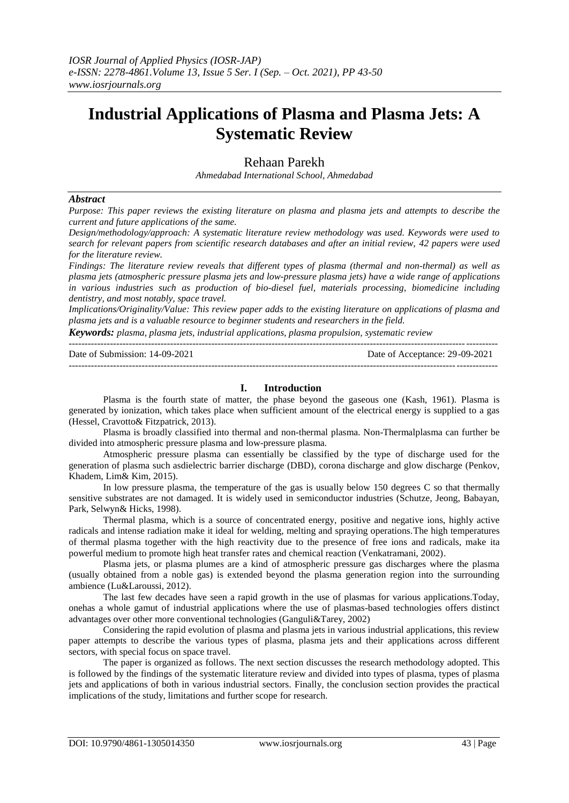# **Industrial Applications of Plasma and Plasma Jets: A Systematic Review**

# Rehaan Parekh

*Ahmedabad International School, Ahmedabad*

#### *Abstract*

Purpose: This paper reviews the existing literature on plasma and plasma jets and attempts to describe the *current and future applications of the same.*

*Design/methodology/approach: A systematic literature review methodology was used. Keywords were used to search for relevant papers from scientific research databases and after an initial review, 42 papers were used for the literature review.*

*Findings: The literature review reveals that different types of plasma (thermal and non-thermal) as well as plasma jets (atmospheric pressure plasma jets and low-pressure plasma jets) have a wide range of applications in various industries such as production of bio-diesel fuel, materials processing, biomedicine including dentistry, and most notably, space travel.* 

*Implications/Originality/Value: This review paper adds to the existing literature on applications of plasma and plasma jets and is a valuable resource to beginner students and researchers in the field.*

*Keywords: plasma, plasma jets, industrial applications, plasma propulsion, systematic review*

| Date of Submission: 14-09-2021 | Date of Acceptance: 29-09-2021 |
|--------------------------------|--------------------------------|
|                                |                                |

# **I. Introduction**

Plasma is the fourth state of matter, the phase beyond the gaseous one (Kash, 1961). Plasma is generated by ionization, which takes place when sufficient amount of the electrical energy is supplied to a gas (Hessel, Cravotto& Fitzpatrick, 2013).

Plasma is broadly classified into thermal and non-thermal plasma. Non-Thermalplasma can further be divided into atmospheric pressure plasma and low-pressure plasma.

Atmospheric pressure plasma can essentially be classified by the type of discharge used for the generation of plasma such asdielectric barrier discharge (DBD), corona discharge and glow discharge (Penkov, Khadem, Lim& Kim, 2015).

In low pressure plasma, the temperature of the gas is usually below 150 degrees C so that thermally sensitive substrates are not damaged. It is widely used in semiconductor industries (Schutze, Jeong, Babayan, Park, Selwyn& Hicks, 1998).

Thermal plasma, which is a source of concentrated energy, positive and negative ions, highly active radicals and intense radiation make it ideal for welding, melting and spraying operations.The high temperatures of thermal plasma together with the high reactivity due to the presence of free ions and radicals, make ita powerful medium to promote high heat transfer rates and chemical reaction (Venkatramani, 2002).

Plasma jets, or plasma plumes are a kind of atmospheric pressure gas discharges where the plasma (usually obtained from a noble gas) is extended beyond the plasma generation region into the surrounding ambience (Lu&Laroussi, 2012).

The last few decades have seen a rapid growth in the use of plasmas for various applications.Today, onehas a whole gamut of industrial applications where the use of plasmas-based technologies offers distinct advantages over other more conventional technologies (Ganguli&Tarey, 2002)

Considering the rapid evolution of plasma and plasma jets in various industrial applications, this review paper attempts to describe the various types of plasma, plasma jets and their applications across different sectors, with special focus on space travel.

The paper is organized as follows. The next section discusses the research methodology adopted. This is followed by the findings of the systematic literature review and divided into types of plasma, types of plasma jets and applications of both in various industrial sectors. Finally, the conclusion section provides the practical implications of the study, limitations and further scope for research.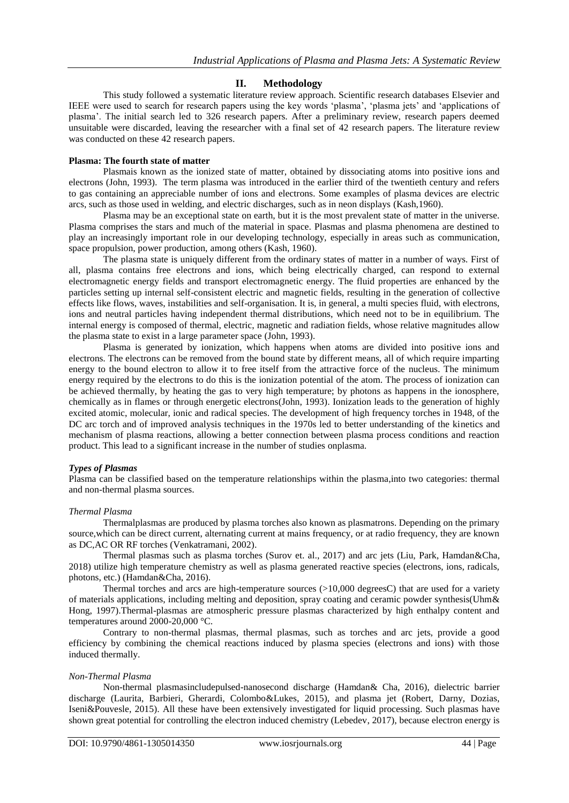# **II. Methodology**

This study followed a systematic literature review approach. Scientific research databases Elsevier and IEEE were used to search for research papers using the key words 'plasma', 'plasma jets' and 'applications of plasma'. The initial search led to 326 research papers. After a preliminary review, research papers deemed unsuitable were discarded, leaving the researcher with a final set of 42 research papers. The literature review was conducted on these 42 research papers.

#### **Plasma: The fourth state of matter**

Plasmais known as the ionized state of matter, obtained by dissociating atoms into positive ions and electrons (John, 1993). The term plasma was introduced in the earlier third of the twentieth century and refers to gas containing an appreciable number of ions and electrons. Some examples of plasma devices are electric arcs, such as those used in welding, and electric discharges, such as in neon displays (Kash,1960).

Plasma may be an exceptional state on earth, but it is the most prevalent state of matter in the universe. Plasma comprises the stars and much of the material in space. Plasmas and plasma phenomena are destined to play an increasingly important role in our developing technology, especially in areas such as communication, space propulsion, power production, among others (Kash, 1960).

The plasma state is uniquely different from the ordinary states of matter in a number of ways. First of all, plasma contains free electrons and ions, which being electrically charged, can respond to external electromagnetic energy fields and transport electromagnetic energy. The fluid properties are enhanced by the particles setting up internal self-consistent electric and magnetic fields, resulting in the generation of collective effects like flows, waves, instabilities and self-organisation. It is, in general, a multi species fluid, with electrons, ions and neutral particles having independent thermal distributions, which need not to be in equilibrium. The internal energy is composed of thermal, electric, magnetic and radiation fields, whose relative magnitudes allow the plasma state to exist in a large parameter space (John, 1993).

Plasma is generated by ionization, which happens when atoms are divided into positive ions and electrons. The electrons can be removed from the bound state by different means, all of which require imparting energy to the bound electron to allow it to free itself from the attractive force of the nucleus. The minimum energy required by the electrons to do this is the ionization potential of the atom. The process of ionization can be achieved thermally, by heating the gas to very high temperature; by photons as happens in the ionosphere, chemically as in flames or through energetic electrons(John, 1993). Ionization leads to the generation of highly excited atomic, molecular, ionic and radical species. The development of high frequency torches in 1948, of the DC arc torch and of improved analysis techniques in the 1970s led to better understanding of the kinetics and mechanism of plasma reactions, allowing a better connection between plasma process conditions and reaction product. This lead to a significant increase in the number of studies onplasma.

# *Types of Plasmas*

Plasma can be classified based on the temperature relationships within the plasma,into two categories: thermal and non-thermal plasma sources.

#### *Thermal Plasma*

Thermalplasmas are produced by plasma torches also known as plasmatrons. Depending on the primary source,which can be direct current, alternating current at mains frequency, or at radio frequency, they are known as DC,AC OR RF torches (Venkatramani, 2002).

Thermal plasmas such as plasma torches (Surov et. al., 2017) and arc jets (Liu, Park, Hamdan&Cha, 2018) utilize high temperature chemistry as well as plasma generated reactive species (electrons, ions, radicals, photons, etc.) (Hamdan&Cha, 2016).

Thermal torches and arcs are high-temperature sources  $(>10,000$  degreesC) that are used for a variety of materials applications, including melting and deposition, spray coating and ceramic powder synthesis(Uhm& Hong, 1997).Thermal-plasmas are atmospheric pressure plasmas characterized by high enthalpy content and temperatures around 2000-20,000 °C.

Contrary to non-thermal plasmas, thermal plasmas, such as torches and arc jets, provide a good efficiency by combining the chemical reactions induced by plasma species (electrons and ions) with those induced thermally.

#### *Non-Thermal Plasma*

Non-thermal plasmasincludepulsed-nanosecond discharge (Hamdan& Cha, 2016), dielectric barrier discharge (Laurita, Barbieri, Gherardi, Colombo&Lukes, 2015), and plasma jet (Robert, Darny, Dozias, Iseni&Pouvesle, 2015). All these have been extensively investigated for liquid processing. Such plasmas have shown great potential for controlling the electron induced chemistry (Lebedev, 2017), because electron energy is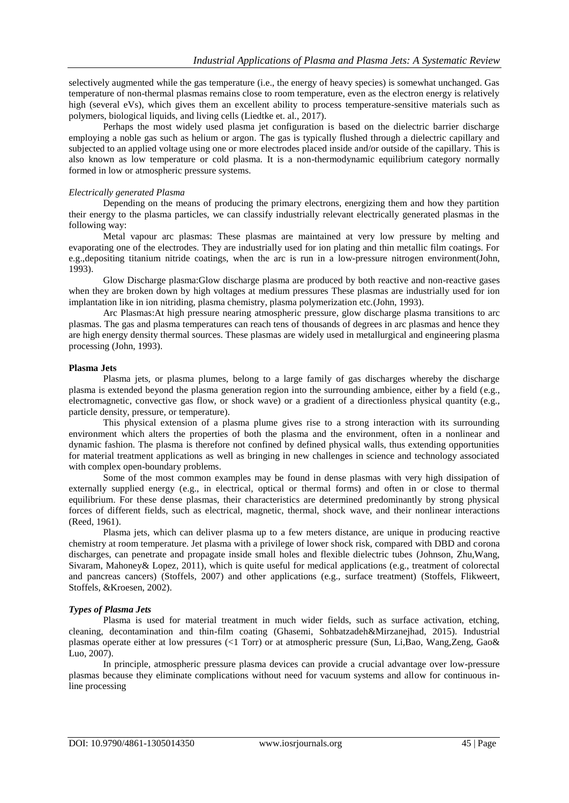selectively augmented while the gas temperature (i.e., the energy of heavy species) is somewhat unchanged. Gas temperature of non-thermal plasmas remains close to room temperature, even as the electron energy is relatively high (several eVs), which gives them an excellent ability to process temperature-sensitive materials such as polymers, biological liquids, and living cells (Liedtke et. al., 2017).

Perhaps the most widely used plasma jet configuration is based on the dielectric barrier discharge employing a noble gas such as helium or argon. The gas is typically flushed through a dielectric capillary and subjected to an applied voltage using one or more electrodes placed inside and/or outside of the capillary. This is also known as low temperature or cold plasma. It is a non-thermodynamic equilibrium category normally formed in low or atmospheric pressure systems.

# *Electrically generated Plasma*

Depending on the means of producing the primary electrons, energizing them and how they partition their energy to the plasma particles, we can classify industrially relevant electrically generated plasmas in the following way:

Metal vapour arc plasmas: These plasmas are maintained at very low pressure by melting and evaporating one of the electrodes. They are industrially used for ion plating and thin metallic film coatings. For e.g.,depositing titanium nitride coatings, when the arc is run in a low-pressure nitrogen environment(John, 1993).

Glow Discharge plasma:Glow discharge plasma are produced by both reactive and non-reactive gases when they are broken down by high voltages at medium pressures These plasmas are industrially used for ion implantation like in ion nitriding, plasma chemistry, plasma polymerization etc.(John, 1993).

Arc Plasmas:At high pressure nearing atmospheric pressure, glow discharge plasma transitions to arc plasmas. The gas and plasma temperatures can reach tens of thousands of degrees in arc plasmas and hence they are high energy density thermal sources. These plasmas are widely used in metallurgical and engineering plasma processing (John, 1993).

# **Plasma Jets**

Plasma jets, or plasma plumes, belong to a large family of gas discharges whereby the discharge plasma is extended beyond the plasma generation region into the surrounding ambience, either by a field (e.g., electromagnetic, convective gas flow, or shock wave) or a gradient of a directionless physical quantity (e.g., particle density, pressure, or temperature).

This physical extension of a plasma plume gives rise to a strong interaction with its surrounding environment which alters the properties of both the plasma and the environment, often in a nonlinear and dynamic fashion. The plasma is therefore not confined by defined physical walls, thus extending opportunities for material treatment applications as well as bringing in new challenges in science and technology associated with complex open-boundary problems.

Some of the most common examples may be found in dense plasmas with very high dissipation of externally supplied energy (e.g., in electrical, optical or thermal forms) and often in or close to thermal equilibrium. For these dense plasmas, their characteristics are determined predominantly by strong physical forces of different fields, such as electrical, magnetic, thermal, shock wave, and their nonlinear interactions (Reed, 1961).

Plasma jets, which can deliver plasma up to a few meters distance, are unique in producing reactive chemistry at room temperature. Jet plasma with a privilege of lower shock risk, compared with DBD and corona discharges, can penetrate and propagate inside small holes and flexible dielectric tubes (Johnson, Zhu,Wang, Sivaram, Mahoney& Lopez, 2011), which is quite useful for medical applications (e.g., treatment of colorectal and pancreas cancers) (Stoffels, 2007) and other applications (e.g., surface treatment) (Stoffels, Flikweert, Stoffels, &Kroesen, 2002).

# *Types of Plasma Jets*

Plasma is used for material treatment in much wider fields, such as surface activation, etching, cleaning, decontamination and thin-film coating (Ghasemi, Sohbatzadeh&Mirzanejhad, 2015). Industrial plasmas operate either at low pressures (<1 Torr) or at atmospheric pressure (Sun, Li,Bao, Wang,Zeng, Gao& Luo, 2007).

In principle, atmospheric pressure plasma devices can provide a crucial advantage over low-pressure plasmas because they eliminate complications without need for vacuum systems and allow for continuous inline processing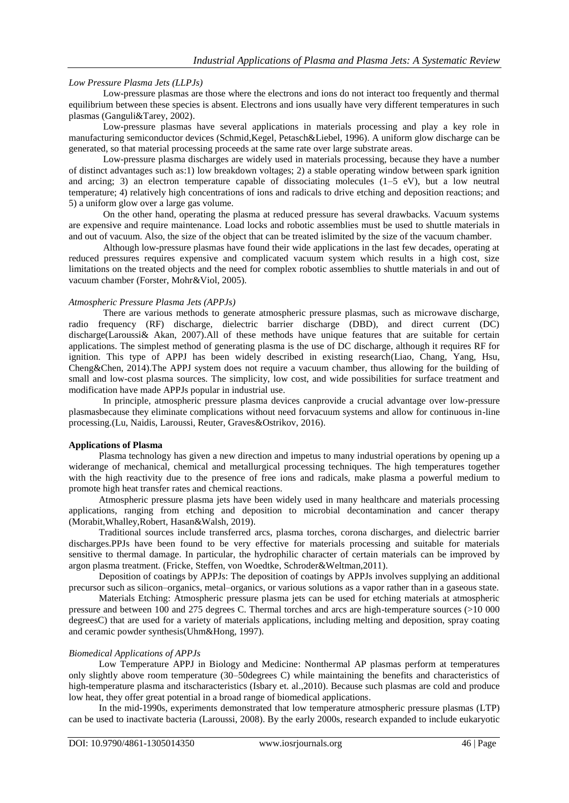# *Low Pressure Plasma Jets (LLPJs)*

Low-pressure plasmas are those where the electrons and ions do not interact too frequently and thermal equilibrium between these species is absent. Electrons and ions usually have very different temperatures in such plasmas (Ganguli&Tarey, 2002).

Low-pressure plasmas have several applications in materials processing and play a key role in manufacturing semiconductor devices (Schmid,Kegel, Petasch&Liebel, 1996). A uniform glow discharge can be generated, so that material processing proceeds at the same rate over large substrate areas.

Low-pressure plasma discharges are widely used in materials processing, because they have a number of distinct advantages such as:1) low breakdown voltages; 2) a stable operating window between spark ignition and arcing; 3) an electron temperature capable of dissociating molecules  $(1-5 \text{ eV})$ , but a low neutral temperature; 4) relatively high concentrations of ions and radicals to drive etching and deposition reactions; and 5) a uniform glow over a large gas volume.

On the other hand, operating the plasma at reduced pressure has several drawbacks. Vacuum systems are expensive and require maintenance. Load locks and robotic assemblies must be used to shuttle materials in and out of vacuum. Also, the size of the object that can be treated islimited by the size of the vacuum chamber.

Although low-pressure plasmas have found their wide applications in the last few decades, operating at reduced pressures requires expensive and complicated vacuum system which results in a high cost, size limitations on the treated objects and the need for complex robotic assemblies to shuttle materials in and out of vacuum chamber (Forster, Mohr&Viol, 2005).

# *Atmospheric Pressure Plasma Jets (APPJs)*

There are various methods to generate atmospheric pressure plasmas, such as microwave discharge, radio frequency (RF) discharge, dielectric barrier discharge (DBD), and direct current (DC) discharge(Laroussi& Akan, 2007).All of these methods have unique features that are suitable for certain applications. The simplest method of generating plasma is the use of DC discharge, although it requires RF for ignition. This type of APPJ has been widely described in existing research(Liao, Chang, Yang, Hsu, Cheng&Chen, 2014).The APPJ system does not require a vacuum chamber, thus allowing for the building of small and low-cost plasma sources. The simplicity, low cost, and wide possibilities for surface treatment and modification have made APPJs popular in industrial use.

In principle, atmospheric pressure plasma devices canprovide a crucial advantage over low-pressure plasmasbecause they eliminate complications without need forvacuum systems and allow for continuous in-line processing.(Lu, Naidis, Laroussi, Reuter, Graves&Ostrikov, 2016).

# **Applications of Plasma**

Plasma technology has given a new direction and impetus to many industrial operations by opening up a widerange of mechanical, chemical and metallurgical processing techniques. The high temperatures together with the high reactivity due to the presence of free ions and radicals, make plasma a powerful medium to promote high heat transfer rates and chemical reactions.

Atmospheric pressure plasma jets have been widely used in many healthcare and materials processing applications, ranging from etching and deposition to microbial decontamination and cancer therapy (Morabit,Whalley,Robert, Hasan&Walsh, 2019).

Traditional sources include transferred arcs, plasma torches, corona discharges, and dielectric barrier discharges.PPJs have been found to be very effective for materials processing and suitable for materials sensitive to thermal damage. In particular, the hydrophilic character of certain materials can be improved by argon plasma treatment. (Fricke, Steffen, von Woedtke, Schroder&Weltman,2011).

Deposition of coatings by APPJs: The deposition of coatings by APPJs involves supplying an additional precursor such as silicon–organics, metal–organics, or various solutions as a vapor rather than in a gaseous state.

Materials Etching: Atmospheric pressure plasma jets can be used for etching materials at atmospheric pressure and between 100 and 275 degrees C. Thermal torches and arcs are high-temperature sources (>10 000 degreesC) that are used for a variety of materials applications, including melting and deposition, spray coating and ceramic powder synthesis(Uhm&Hong, 1997).

# *Biomedical Applications of APPJs*

Low Temperature APPJ in Biology and Medicine: Nonthermal AP plasmas perform at temperatures only slightly above room temperature (30–50degrees C) while maintaining the benefits and characteristics of high-temperature plasma and itscharacteristics (Isbary et. al.,2010). Because such plasmas are cold and produce low heat, they offer great potential in a broad range of biomedical applications.

In the mid-1990s, experiments demonstrated that low temperature atmospheric pressure plasmas (LTP) can be used to inactivate bacteria (Laroussi, 2008). By the early 2000s, research expanded to include eukaryotic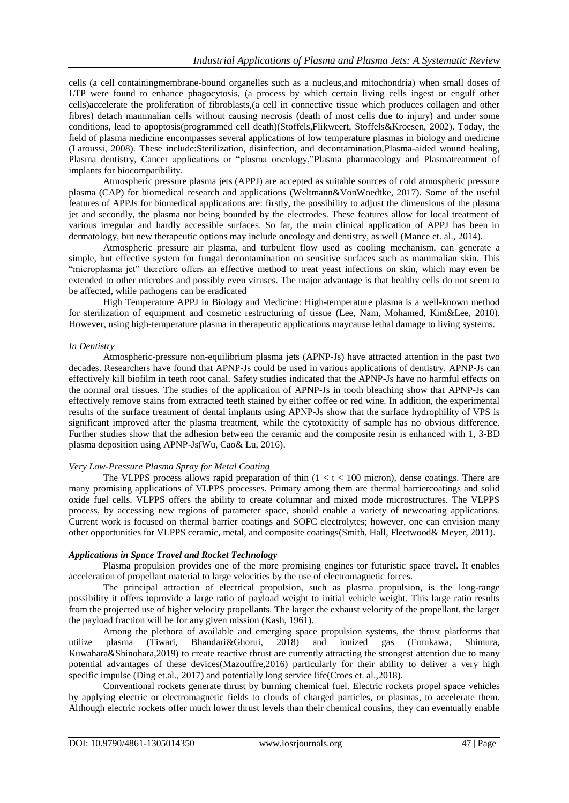cells (a cell containingmembrane-bound organelles such as a nucleus,and mitochondria) when small doses of LTP were found to enhance phagocytosis, (a process by which certain living cells ingest or engulf other cells)accelerate the proliferation of fibroblasts,(a cell in connective tissue which produces collagen and other fibres) detach mammalian cells without causing necrosis (death of most cells due to injury) and under some conditions, lead to apoptosis(programmed cell death)(Stoffels,Flikweert, Stoffels&Kroesen, 2002). Today, the field of plasma medicine encompasses several applications of low temperature plasmas in biology and medicine (Laroussi, 2008). These include:Sterilization, disinfection, and decontamination,Plasma-aided wound healing, Plasma dentistry, Cancer applications or "plasma oncology,"Plasma pharmacology and Plasmatreatment of implants for biocompatibility.

Atmospheric pressure plasma jets (APPJ) are accepted as suitable sources of cold atmospheric pressure plasma (CAP) for biomedical research and applications (Weltmann&VonWoedtke, 2017). Some of the useful features of APPJs for biomedical applications are: firstly, the possibility to adjust the dimensions of the plasma jet and secondly, the plasma not being bounded by the electrodes. These features allow for local treatment of various irregular and hardly accessible surfaces. So far, the main clinical application of APPJ has been in dermatology, but new therapeutic options may include oncology and dentistry, as well (Mance et. al., 2014).

Atmospheric pressure air plasma, and turbulent flow used as cooling mechanism, can generate a simple, but effective system for fungal decontamination on sensitive surfaces such as mammalian skin. This "microplasma jet" therefore offers an effective method to treat yeast infections on skin, which may even be extended to other microbes and possibly even viruses. The major advantage is that healthy cells do not seem to be affected, while pathogens can be eradicated

High Temperature APPJ in Biology and Medicine: High-temperature plasma is a well-known method for sterilization of equipment and cosmetic restructuring of tissue (Lee, Nam, Mohamed, Kim&Lee, 2010). However, using high-temperature plasma in therapeutic applications maycause lethal damage to living systems.

# *In Dentistry*

Atmospheric-pressure non-equilibrium plasma jets (APNP-Js) have attracted attention in the past two decades. Researchers have found that APNP-Js could be used in various applications of dentistry. APNP-Js can effectively kill biofilm in teeth root canal. Safety studies indicated that the APNP-Js have no harmful effects on the normal oral tissues. The studies of the application of APNP-Js in tooth bleaching show that APNP-Js can effectively remove stains from extracted teeth stained by either coffee or red wine. In addition, the experimental results of the surface treatment of dental implants using APNP-Js show that the surface hydrophility of VPS is significant improved after the plasma treatment, while the cytotoxicity of sample has no obvious difference. Further studies show that the adhesion between the ceramic and the composite resin is enhanced with 1, 3-BD plasma deposition using APNP-Js(Wu, Cao& Lu, 2016).

# *Very Low-Pressure Plasma Spray for Metal Coating*

The VLPPS process allows rapid preparation of thin  $(1 < t < 100$  micron), dense coatings. There are many promising applications of VLPPS processes. Primary among them are thermal barriercoatings and solid oxide fuel cells. VLPPS offers the ability to create columnar and mixed mode microstructures. The VLPPS process, by accessing new regions of parameter space, should enable a variety of newcoating applications. Current work is focused on thermal barrier coatings and SOFC electrolytes; however, one can envision many other opportunities for VLPPS ceramic, metal, and composite coatings(Smith, Hall, Fleetwood& Meyer, 2011).

# *Applications in Space Travel and Rocket Technology*

Plasma propulsion provides one of the more promising engines tor futuristic space travel. It enables acceleration of propellant material to large velocities by the use of electromagnetic forces.

The principal attraction of electrical propulsion, such as plasma propulsion, is the long-range possibility it offers toprovide a large ratio of payload weight to initial vehicle weight. This large ratio results from the projected use of higher velocity propellants. The larger the exhaust velocity of the propellant, the larger the payload fraction will be for any given mission (Kash, 1961).

Among the plethora of available and emerging space propulsion systems, the thrust platforms that utilize plasma (Tiwari, Bhandari&Ghorui, 2018) and ionized gas (Furukawa, Shimura, Kuwahara&Shinohara,2019) to create reactive thrust are currently attracting the strongest attention due to many potential advantages of these devices(Mazouffre,2016) particularly for their ability to deliver a very high specific impulse (Ding et.al., 2017) and potentially long service life(Croes et. al., 2018).

Conventional rockets generate thrust by burning chemical fuel. Electric rockets propel space vehicles by applying electric or electromagnetic fields to clouds of charged particles, or plasmas, to accelerate them. Although electric rockets offer much lower thrust levels than their chemical cousins, they can eventually enable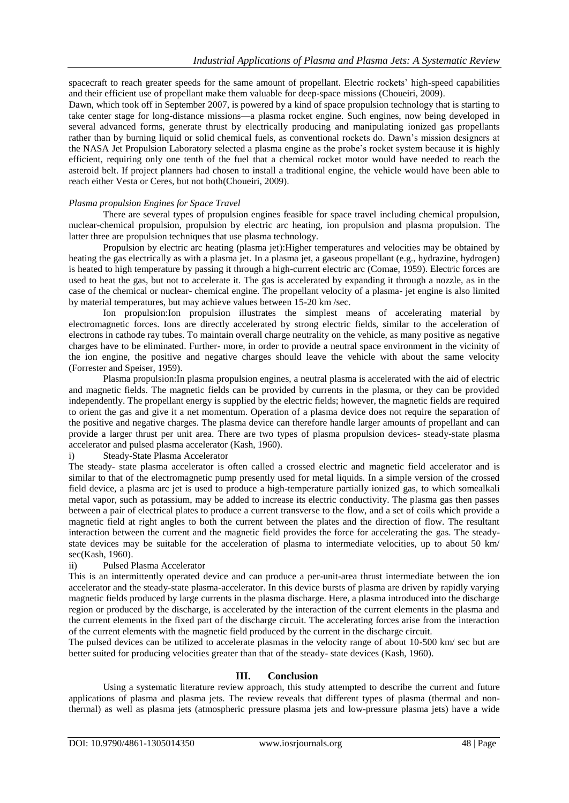spacecraft to reach greater speeds for the same amount of propellant. Electric rockets' high-speed capabilities and their efficient use of propellant make them valuable for deep-space missions (Choueiri, 2009).

Dawn, which took off in September 2007, is powered by a kind of space propulsion technology that is starting to take center stage for long-distance missions—a plasma rocket engine. Such engines, now being developed in several advanced forms, generate thrust by electrically producing and manipulating ionized gas propellants rather than by burning liquid or solid chemical fuels, as conventional rockets do. Dawn's mission designers at the NASA Jet Propulsion Laboratory selected a plasma engine as the probe's rocket system because it is highly efficient, requiring only one tenth of the fuel that a chemical rocket motor would have needed to reach the asteroid belt. If project planners had chosen to install a traditional engine, the vehicle would have been able to reach either Vesta or Ceres, but not both(Choueiri, 2009).

# *Plasma propulsion Engines for Space Travel*

There are several types of propulsion engines feasible for space travel including chemical propulsion, nuclear-chemical propulsion, propulsion by electric arc heating, ion propulsion and plasma propulsion. The latter three are propulsion techniques that use plasma technology.

Propulsion by electric arc heating (plasma jet):Higher temperatures and velocities may be obtained by heating the gas electrically as with a plasma jet. In a plasma jet, a gaseous propellant (e.g., hydrazine, hydrogen) is heated to high temperature by passing it through a high-current electric arc (Comae, 1959). Electric forces are used to heat the gas, but not to accelerate it. The gas is accelerated by expanding it through a nozzle, as in the case of the chemical or nuclear- chemical engine. The propellant velocity of a plasma- jet engine is also limited by material temperatures, but may achieve values between 15-20 km /sec.

Ion propulsion:Ion propulsion illustrates the simplest means of accelerating material by electromagnetic forces. Ions are directly accelerated by strong electric fields, similar to the acceleration of electrons in cathode ray tubes. To maintain overall charge neutrality on the vehicle, as many positive as negative charges have to be eliminated. Further- more, in order to provide a neutral space environment in the vicinity of the ion engine, the positive and negative charges should leave the vehicle with about the same velocity (Forrester and Speiser, 1959).

Plasma propulsion:In plasma propulsion engines, a neutral plasma is accelerated with the aid of electric and magnetic fields. The magnetic fields can be provided by currents in the plasma, or they can be provided independently. The propellant energy is supplied by the electric fields; however, the magnetic fields are required to orient the gas and give it a net momentum. Operation of a plasma device does not require the separation of the positive and negative charges. The plasma device can therefore handle larger amounts of propellant and can provide a larger thrust per unit area. There are two types of plasma propulsion devices- steady-state plasma accelerator and pulsed plasma accelerator (Kash, 1960).

i) Steady-State Plasma Accelerator

The steady- state plasma accelerator is often called a crossed electric and magnetic field accelerator and is similar to that of the electromagnetic pump presently used for metal liquids. In a simple version of the crossed field device, a plasma arc jet is used to produce a high-temperature partially ionized gas, to which somealkali metal vapor, such as potassium, may be added to increase its electric conductivity. The plasma gas then passes between a pair of electrical plates to produce a current transverse to the flow, and a set of coils which provide a magnetic field at right angles to both the current between the plates and the direction of flow. The resultant interaction between the current and the magnetic field provides the force for accelerating the gas. The steadystate devices may be suitable for the acceleration of plasma to intermediate velocities, up to about 50 km/ sec(Kash, 1960).

ii) Pulsed Plasma Accelerator

This is an intermittently operated device and can produce a per-unit-area thrust intermediate between the ion accelerator and the steady-state plasma-accelerator. In this device bursts of plasma are driven by rapidly varying magnetic fields produced by large currents in the plasma discharge. Here, a plasma introduced into the discharge region or produced by the discharge, is accelerated by the interaction of the current elements in the plasma and the current elements in the fixed part of the discharge circuit. The accelerating forces arise from the interaction of the current elements with the magnetic field produced by the current in the discharge circuit.

The pulsed devices can be utilized to accelerate plasmas in the velocity range of about 10-500 km/ sec but are better suited for producing velocities greater than that of the steady- state devices (Kash, 1960).

# **III. Conclusion**

Using a systematic literature review approach, this study attempted to describe the current and future applications of plasma and plasma jets. The review reveals that different types of plasma (thermal and nonthermal) as well as plasma jets (atmospheric pressure plasma jets and low-pressure plasma jets) have a wide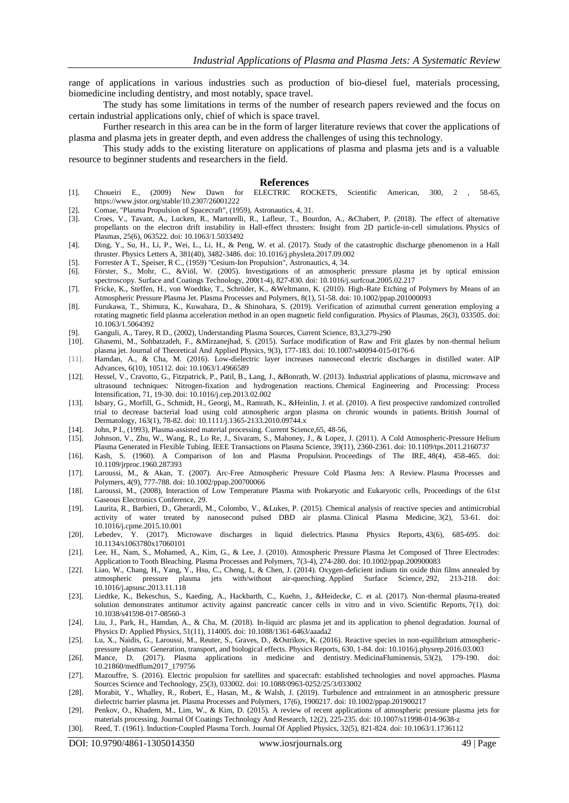range of applications in various industries such as production of bio-diesel fuel, materials processing, biomedicine including dentistry, and most notably, space travel.

The study has some limitations in terms of the number of research papers reviewed and the focus on certain industrial applications only, chief of which is space travel.

Further research in this area can be in the form of larger literature reviews that cover the applications of plasma and plasma jets in greater depth, and even address the challenges of using this technology.

This study adds to the existing literature on applications of plasma and plasma jets and is a valuable resource to beginner students and researchers in the field.

#### **References**

- [1]. Choueiri E., (2009) New Dawn for ELECTRIC ROCKETS, Scientific American, 300, 2 , 58-65, https://www.jstor.org/stable/10.2307/26001222
- [2]. Comae, "Plasma Propulsion of Spacecraft", (1959), Astronautics, 4, 31.
- [3]. Croes, V., Tavant, A., Lucken, R., Martorelli, R., Lafleur, T., Bourdon, A., &Chabert, P. (2018). The effect of alternative propellants on the electron drift instability in Hall-effect thrusters: Insight from 2D particle-in-cell simulations. Physics of Plasmas, 25(6), 063522. doi: 10.1063/1.5033492
- [4]. Ding, Y., Su, H., Li, P., Wei, L., Li, H., & Peng, W. et al. (2017). Study of the catastrophic discharge phenomenon in a Hall thruster. Physics Letters A, 381(40), 3482-3486. doi: 10.1016/j.physleta.2017.09.002
- [5]. Forrester A T., Speiser, R C., (1959) "Cesium-Ion Propulsion", Astronautics, 4, 34.
- [6]. Förster, S., Mohr, C., &Viöl, W. (2005). Investigations of an atmospheric pressure plasma jet by optical emission spectroscopy. Surface and Coatings Technology, 200(1-4), 827-830. doi: 10.1016/j.surfcoat.2005.02.217
- [7]. Fricke, K., Steffen, H., von Woedtke, T., Schröder, K., &Weltmann, K. (2010). High-Rate Etching of Polymers by Means of an Atmospheric Pressure Plasma Jet. Plasma Processes and Polymers, 8(1), 51-58. doi: 10.1002/ppap.201000093
- [8]. Furukawa, T., Shimura, K., Kuwahara, D., & Shinohara, S. (2019). Verification of azimuthal current generation employing a rotating magnetic field plasma acceleration method in an open magnetic field configuration. Physics of Plasmas, 26(3), 033505. doi: 10.1063/1.5064392
- [9]. Ganguli, A., Tarey, R D., (2002), Understanding Plasma Sources, Current Science, 83,3,279-290
- [10]. Ghasemi, M., Sohbatzadeh, F., &Mirzanejhad, S. (2015). Surface modification of Raw and Frit glazes by non-thermal helium plasma jet. Journal of Theoretical And Applied Physics, 9(3), 177-183. doi: 10.1007/s40094-015-0176-6
- [11]. Hamdan, A., & Cha, M. (2016). Low-dielectric layer increases nanosecond electric discharges in distilled water. AIP Advances, 6(10), 105112. doi: 10.1063/1.4966589
- [12]. Hessel, V., Cravotto, G., Fitzpatrick, P., Patil, B., Lang, J., &Bonrath, W. (2013). Industrial applications of plasma, microwave and ultrasound techniques: Nitrogen-fixation and hydrogenation reactions. Chemical Engineering and Processing: Process Intensification, 71, 19-30. doi: 10.1016/j.cep.2013.02.002
- [13]. Isbary, G., Morfill, G., Schmidt, H., Georgi, M., Ramrath, K., &Heinlin, J. et al. (2010). A first prospective randomized controlled trial to decrease bacterial load using cold atmospheric argon plasma on chronic wounds in patients. British Journal of Dermatology, 163(1), 78-82. doi: 10.1111/j.1365-2133.2010.09744.x
- [14]. John, P I., (1993), Plasma-assisted material processing. Current Science,65, 48-56,
- [15]. Johnson, V., Zhu, W., Wang, R., Lo Re, J., Sivaram, S., Mahoney, J., & Lopez, J. (2011). A Cold Atmospheric-Pressure Helium Plasma Generated in Flexible Tubing. IEEE Transactions on Plasma Science, 39(11), 2360-2361. doi: 10.1109/tps.2011.2160737
- [16]. Kash, S. (1960). A Comparison of Ion and Plasma Propulsion. Proceedings of The IRE, 48(4), 458-465. doi: 10.1109/jrproc.1960.287393
- [17]. Laroussi, M., & Akan, T. (2007). Arc-Free Atmospheric Pressure Cold Plasma Jets: A Review. Plasma Processes and Polymers, 4(9), 777-788. doi: 10.1002/ppap.200700066
- [18]. Laroussi, M., (2008), Interaction of Low Temperature Plasma with Prokaryotic and Eukaryotic cells, Proceedings of the 61st Gaseous Electronics Conference, 29.
- [19]. Laurita, R., Barbieri, D., Gherardi, M., Colombo, V., &Lukes, P. (2015). Chemical analysis of reactive species and antimicrobial activity of water treated by nanosecond pulsed DBD air plasma. Clinical Plasma Medicine, 3(2), 53-61. doi: 10.1016/j.cpme.2015.10.001
- [20]. Lebedev, Y. (2017). Microwave discharges in liquid dielectrics. Plasma Physics Reports, 43(6), 685-695. doi: 10.1134/s1063780x17060101
- [21]. Lee, H., Nam, S., Mohamed, A., Kim, G., & Lee, J. (2010). Atmospheric Pressure Plasma Jet Composed of Three Electrodes: Application to Tooth Bleaching. Plasma Processes and Polymers, 7(3-4), 274-280. doi: 10.1002/ppap.200900083
- [22]. Liao, W., Chang, H., Yang, Y., Hsu, C., Cheng, I., & Chen, J. (2014). Oxygen-deficient indium tin oxide thin films annealed by atmospheric pressure plasma jets with/without air-quenching. Applied Surface Science, 292, 213-218. doi: 10.1016/j.apsusc.2013.11.118
- [23]. Liedtke, K., Bekeschus, S., Kaeding, A., Hackbarth, C., Kuehn, J., &Heidecke, C. et al. (2017). Non-thermal plasma-treated solution demonstrates antitumor activity against pancreatic cancer cells in vitro and in vivo. Scientific Reports, 7(1). doi: 10.1038/s41598-017-08560-3
- [24]. Liu, J., Park, H., Hamdan, A., & Cha, M. (2018). In-liquid arc plasma jet and its application to phenol degradation. Journal of Physics D: Applied Physics, 51(11), 114005. doi: 10.1088/1361-6463/aaada2
- [25]. Lu, X., Naidis, G., Laroussi, M., Reuter, S., Graves, D., &Ostrikov, K. (2016). Reactive species in non-equilibrium atmosphericpressure plasmas: Generation, transport, and biological effects. Physics Reports, 630, 1-84. doi: 10.1016/j.physrep.2016.03.003
- [26]. Mance, D. (2017). Plasma applications in medicine and dentistry. MedicinaFluminensis, 53(2), 179-190. doi: 10.21860/medflum2017\_179756
- [27]. Mazouffre, S. (2016). Electric propulsion for satellites and spacecraft: established technologies and novel approaches. Plasma Sources Science and Technology, 25(3), 033002. doi: 10.1088/0963-0252/25/3/033002
- [28]. Morabit, Y., Whalley, R., Robert, E., Hasan, M., & Walsh, J. (2019). Turbulence and entrainment in an atmospheric pressure dielectric barrier plasma jet. Plasma Processes and Polymers, 17(6), 1900217. doi: 10.1002/ppap.201900217
- [29]. Penkov, O., Khadem, M., Lim, W., & Kim, D. (2015). A review of recent applications of atmospheric pressure plasma jets for materials processing. Journal Of Coatings Technology And Research, 12(2), 225-235. doi: 10.1007/s11998-014-9638-z
- [30]. Reed, T. (1961). Induction‐Coupled Plasma Torch. Journal Of Applied Physics, 32(5), 821-824. doi: 10.1063/1.1736112